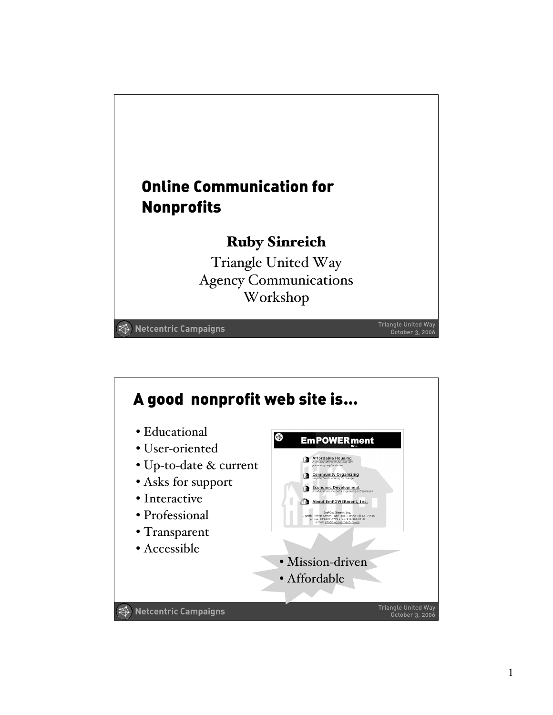

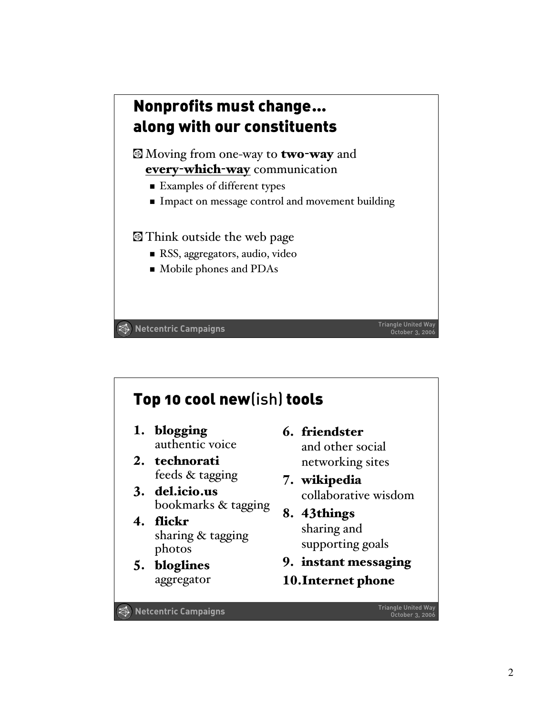

## Top 10 cool new(ish) tools

- 1. blogging authentic voice
- 2. technorati feeds & tagging
- 3. del.icio.us bookmarks & tagging
- 4. flickr sharing & tagging photos
- 5. bloglines aggregator
- 6. friendster and other social networking sites
- 7. wikipedia collaborative wisdom
- 8. 43things sharing and supporting goals
- 9. instant messaging
- 10.Internet phone

Triangle United Way **Netcentric Campaigns** October 3, 2006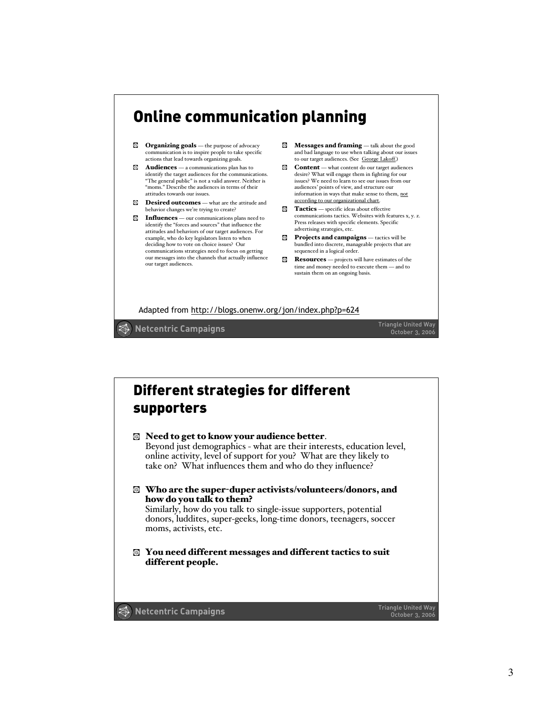## Online communication planning

- **Organizing goals** the purpose of advocacy communication is to inspire people to take specific actions that lead towards organizing goals.
- $\blacksquare$  **Audiences** a communications plan has to identify the target audiences for the communications. "The general public" is not a valid answer. Neither is "moms." Describe the audiences in terms of their attitudes towards our issues.
- **Desired outcomes** what are the attitude and behavior changes we're trying to create?

**Influences** — our communications plans need to identify the "forces and sources" that influence the attitudes and behaviors of our target audiences. For example, who do key legislators listen to when deciding how to vote on choice issues? Our communications strategies need to focus on getting our messages into the channels that actually influence our target audiences.

- Messages and framing talk about the good and bad language to use when talking about our issues to our target audiences. (See George Lakoff.)
- $\bullet$  **Content** what content do our target audiences desire? What will engage them in fighting for our issues? We need to learn to see our issues from our audiences' points of view, and structure our information in ways that make sense to them, not according to our organizational chart.
- **Tactics** specific ideas about effective communications tactics. Websites with features x, y. z. Press releases with specific elements. Specific advertising strategies, etc.
- **Projects and campaigns** tactics will be bundled into discrete, manageable projects that are sequenced in a logical order.
- Resources projects will have estimates of the time and money needed to execute them — and to sustain them on an ongoing basis.

Adapted from http://blogs.onenw.org/jon/index.php?p=624

Triangle United Way **The Campaigns Triangle United Way Triangle United Way** 

### Triangle United Way **Netcentric Campaigns** and the Campaigns of the Campaigns of the Control of the Control of the Control of the Control of the Control of the Control of the Control of the Control of the Control of the Co Different strategies for different supporters Need to get to know your audience better. Beyond just demographics - what are their interests, education level, online activity, level of support for you? What are they likely to take on? What influences them and who do they influence? Who are the super-duper activists/volunteers/donors, and how do you talk to them? Similarly, how do you talk to single-issue supporters, potential donors, luddites, super-geeks, long-time donors, teenagers, soccer moms, activists, etc. You need different messages and different tactics to suit different people.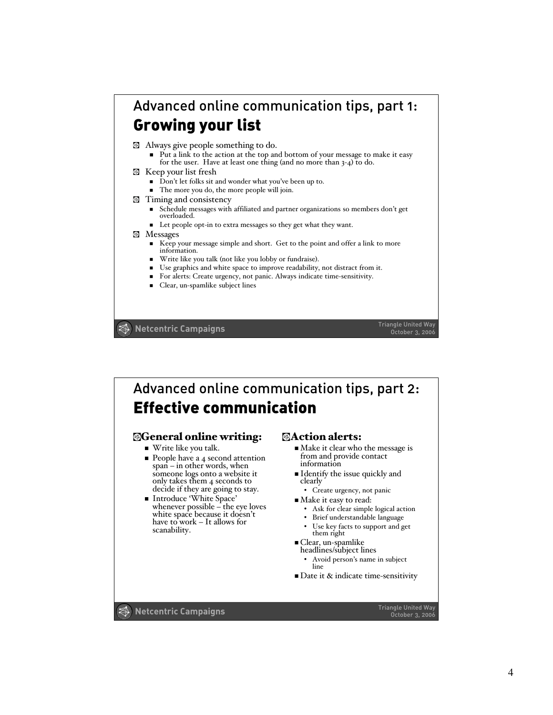### Advanced online communication tips, part 1: Growing your list

- <p>□ Always give people something to do.</p>\n<p>■ Put a link to the action at the top and bottom of your message to make it easy.</p> Put a link to the action at the top and bottom of your message to r for the user. Have at least one thing (and no more than  $3-4$ ) to do.
- Keep your list fresh
	- Don't let folks sit and wonder what you've been up to.
	- The more you do, the more people will join.
- **Exercise** Timing and consistency
	- $\blacksquare$  Schedule messages with affiliated and partner organizations so members don't get overloaded.
	- Let people opt-in to extra messages so they get what they want.

#### **Messages**

- Keep your message simple and short. Get to the point and offer a link to more information.
- Write like you talk (not like you lobby or fundraise).
- Use graphics and white space to improve readability, not distract from it.
- For alerts: Create urgency, not panic. Always indicate time-sensitivity.
- **Clear, un-spamlike subject lines**

Triangle United Way **The Campaigns Triangle United Way Triangle United Way** 

# Advanced online communication tips, part 2: Effective communication

### General online writing:

- Write like you talk.
- $\blacksquare$  People have a 4 second attention span – in other words, when someone logs onto a website it only takes them 4 seconds to decide if they are going to stay.<br>Introduce 'White Space'
- whenever possible the eye loves<br>white space because it doesn't have to work – It allows for scanability.

### **Action alerts:**

- Make it clear who the message is from and provide contact information
- Identify the issue quickly and clearly
	- Create urgency, not panic
- $\blacksquare$  Make it easy to read:
	- Ask for clear simple logical action
	- Brief understandable language
	- Use key facts to support and get them right
	-
- Clear, un-spamlike headlines/subject lines
	- Avoid person's name in subject line

 $\blacksquare$  Date it & indicate time-sensitivity

Triangle United Way **The Campaigns Triangle United Way Triangle United Way October 3, 2006**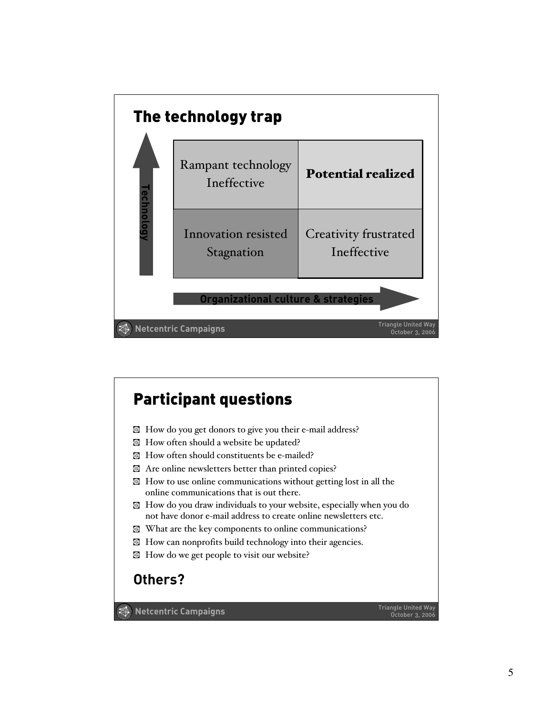